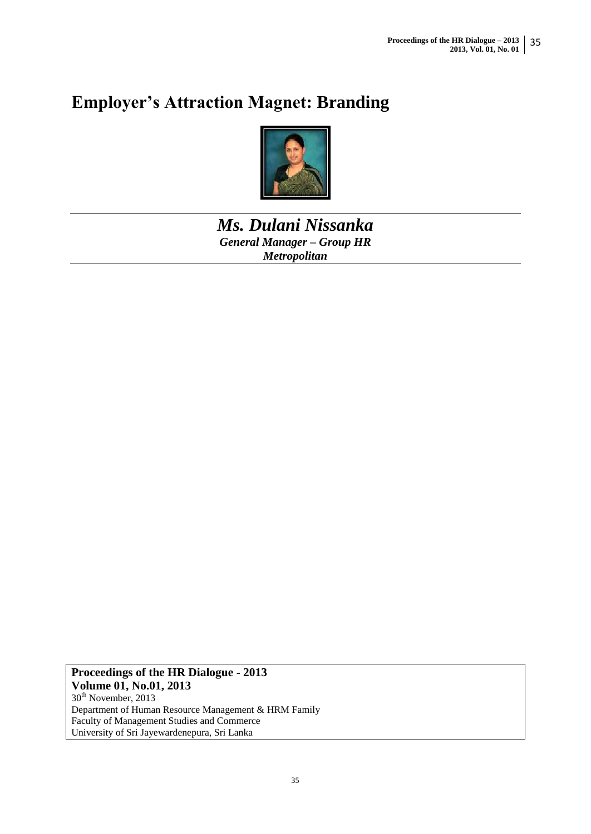# **Employer's Attraction Magnet: Branding**



*Ms. Dulani Nissanka General Manager – Group HR Metropolitan* 

**Proceedings of the HR Dialogue - 2013 Volume 01, No.01, 2013** 30<sup>th</sup> November, 2013 Department of Human Resource Management & HRM Family Faculty of Management Studies and Commerce University of Sri Jayewardenepura, Sri Lanka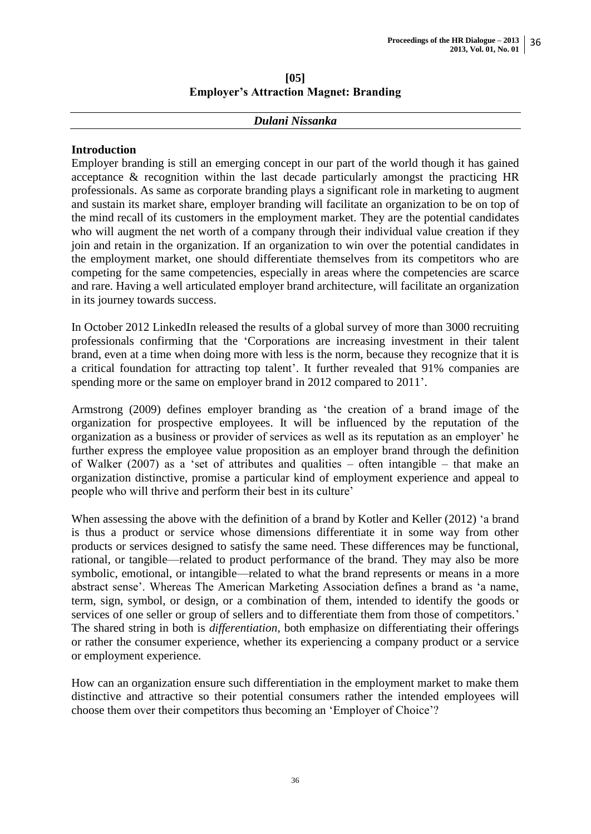# **[05] Employer's Attraction Magnet: Branding**

#### *Dulani Nissanka*

# **Introduction**

Employer branding is still an emerging concept in our part of the world though it has gained acceptance & recognition within the last decade particularly amongst the practicing HR professionals. As same as corporate branding plays a significant role in marketing to augment and sustain its market share, employer branding will facilitate an organization to be on top of the mind recall of its customers in the employment market. They are the potential candidates who will augment the net worth of a company through their individual value creation if they join and retain in the organization. If an organization to win over the potential candidates in the employment market, one should differentiate themselves from its competitors who are competing for the same competencies, especially in areas where the competencies are scarce and rare. Having a well articulated employer brand architecture, will facilitate an organization in its journey towards success.

In October 2012 LinkedIn released the results of a global survey of more than 3000 recruiting professionals confirming that the 'Corporations are increasing investment in their talent brand, even at a time when doing more with less is the norm, because they recognize that it is a critical foundation for attracting top talent'. It further revealed that 91% companies are spending more or the same on employer brand in 2012 compared to 2011'.

Armstrong (2009) defines employer branding as 'the creation of a brand image of the organization for prospective employees. It will be influenced by the reputation of the organization as a business or provider of services as well as its reputation as an employer' he further express the employee value proposition as an employer brand through the definition of Walker (2007) as a 'set of attributes and qualities – often intangible – that make an organization distinctive, promise a particular kind of employment experience and appeal to people who will thrive and perform their best in its culture'

When assessing the above with the definition of a brand by Kotler and Keller (2012) 'a brand is thus a product or service whose dimensions differentiate it in some way from other products or services designed to satisfy the same need. These differences may be functional, rational, or tangible—related to product performance of the brand. They may also be more symbolic, emotional, or intangible—related to what the brand represents or means in a more abstract sense'. Whereas The American Marketing Association defines a brand as 'a name, term, sign, symbol, or design, or a combination of them, intended to identify the goods or services of one seller or group of sellers and to differentiate them from those of competitors.' The shared string in both is *differentiation,* both emphasize on differentiating their offerings or rather the consumer experience, whether its experiencing a company product or a service or employment experience.

How can an organization ensure such differentiation in the employment market to make them distinctive and attractive so their potential consumers rather the intended employees will choose them over their competitors thus becoming an 'Employer of Choice'?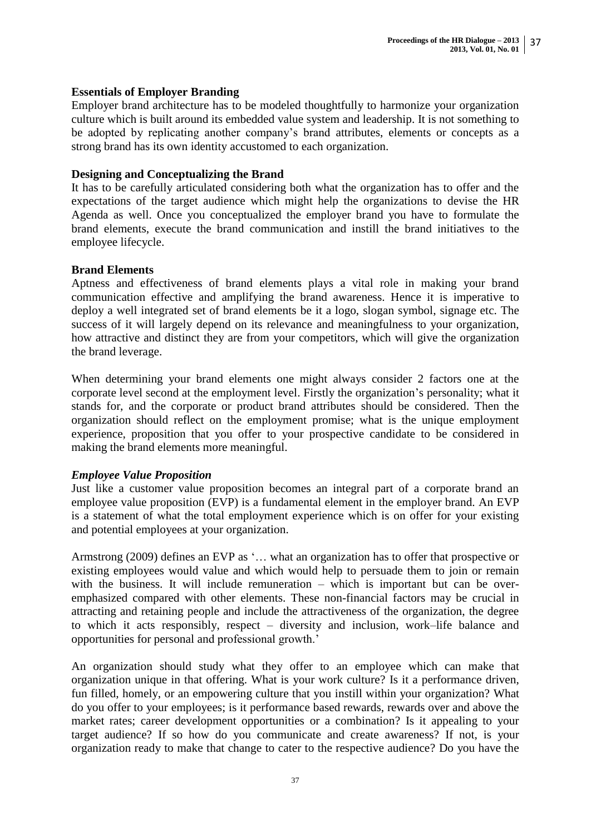### **Essentials of Employer Branding**

Employer brand architecture has to be modeled thoughtfully to harmonize your organization culture which is built around its embedded value system and leadership. It is not something to be adopted by replicating another company's brand attributes, elements or concepts as a strong brand has its own identity accustomed to each organization.

#### **Designing and Conceptualizing the Brand**

It has to be carefully articulated considering both what the organization has to offer and the expectations of the target audience which might help the organizations to devise the HR Agenda as well. Once you conceptualized the employer brand you have to formulate the brand elements, execute the brand communication and instill the brand initiatives to the employee lifecycle.

#### **Brand Elements**

Aptness and effectiveness of brand elements plays a vital role in making your brand communication effective and amplifying the brand awareness. Hence it is imperative to deploy a well integrated set of brand elements be it a logo, slogan symbol, signage etc. The success of it will largely depend on its relevance and meaningfulness to your organization, how attractive and distinct they are from your competitors, which will give the organization the brand leverage.

When determining your brand elements one might always consider 2 factors one at the corporate level second at the employment level. Firstly the organization's personality; what it stands for, and the corporate or product brand attributes should be considered. Then the organization should reflect on the employment promise; what is the unique employment experience, proposition that you offer to your prospective candidate to be considered in making the brand elements more meaningful.

#### *Employee Value Proposition*

Just like a customer value proposition becomes an integral part of a corporate brand an employee value proposition (EVP) is a fundamental element in the employer brand. An EVP is a statement of what the total employment experience which is on offer for your existing and potential employees at your organization.

Armstrong (2009) defines an EVP as '… what an organization has to offer that prospective or existing employees would value and which would help to persuade them to join or remain with the business. It will include remuneration – which is important but can be overemphasized compared with other elements. These non-financial factors may be crucial in attracting and retaining people and include the attractiveness of the organization, the degree to which it acts responsibly, respect – diversity and inclusion, work–life balance and opportunities for personal and professional growth.'

An organization should study what they offer to an employee which can make that organization unique in that offering. What is your work culture? Is it a performance driven, fun filled, homely, or an empowering culture that you instill within your organization? What do you offer to your employees; is it performance based rewards, rewards over and above the market rates; career development opportunities or a combination? Is it appealing to your target audience? If so how do you communicate and create awareness? If not, is your organization ready to make that change to cater to the respective audience? Do you have the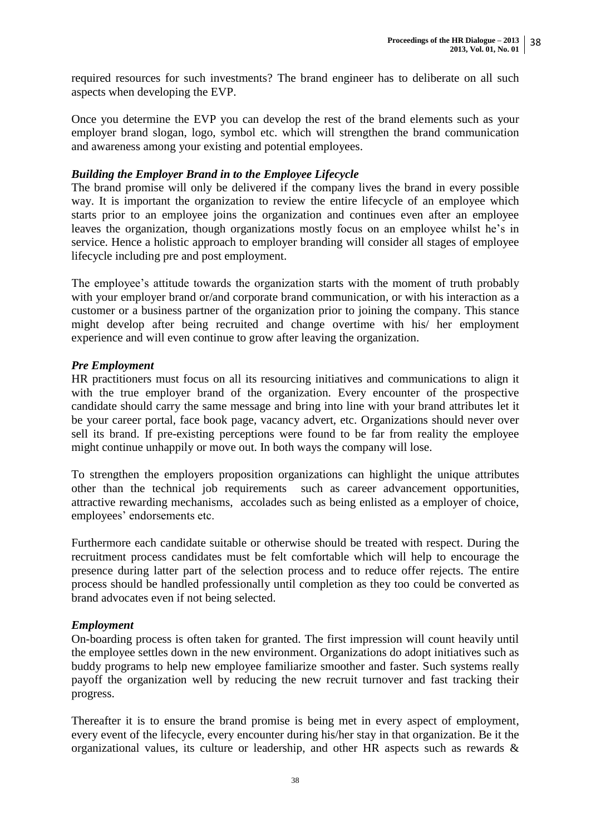required resources for such investments? The brand engineer has to deliberate on all such aspects when developing the EVP.

Once you determine the EVP you can develop the rest of the brand elements such as your employer brand slogan, logo, symbol etc. which will strengthen the brand communication and awareness among your existing and potential employees.

# *Building the Employer Brand in to the Employee Lifecycle*

The brand promise will only be delivered if the company lives the brand in every possible way. It is important the organization to review the entire lifecycle of an employee which starts prior to an employee joins the organization and continues even after an employee leaves the organization, though organizations mostly focus on an employee whilst he's in service. Hence a holistic approach to employer branding will consider all stages of employee lifecycle including pre and post employment.

The employee's attitude towards the organization starts with the moment of truth probably with your employer brand or/and corporate brand communication, or with his interaction as a customer or a business partner of the organization prior to joining the company. This stance might develop after being recruited and change overtime with his/ her employment experience and will even continue to grow after leaving the organization.

# *Pre Employment*

HR practitioners must focus on all its resourcing initiatives and communications to align it with the true employer brand of the organization. Every encounter of the prospective candidate should carry the same message and bring into line with your brand attributes let it be your career portal, face book page, vacancy advert, etc. Organizations should never over sell its brand. If pre-existing perceptions were found to be far from reality the employee might continue unhappily or move out. In both ways the company will lose.

To strengthen the employers proposition organizations can highlight the unique attributes other than the technical job requirements such as career advancement opportunities, attractive rewarding mechanisms, accolades such as being enlisted as a employer of choice, employees' endorsements etc.

Furthermore each candidate suitable or otherwise should be treated with respect. During the recruitment process candidates must be felt comfortable which will help to encourage the presence during latter part of the selection process and to reduce offer rejects. The entire process should be handled professionally until completion as they too could be converted as brand advocates even if not being selected.

# *Employment*

On-boarding process is often taken for granted. The first impression will count heavily until the employee settles down in the new environment. Organizations do adopt initiatives such as buddy programs to help new employee familiarize smoother and faster. Such systems really payoff the organization well by reducing the new recruit turnover and fast tracking their progress.

Thereafter it is to ensure the brand promise is being met in every aspect of employment, every event of the lifecycle, every encounter during his/her stay in that organization. Be it the organizational values, its culture or leadership, and other HR aspects such as rewards &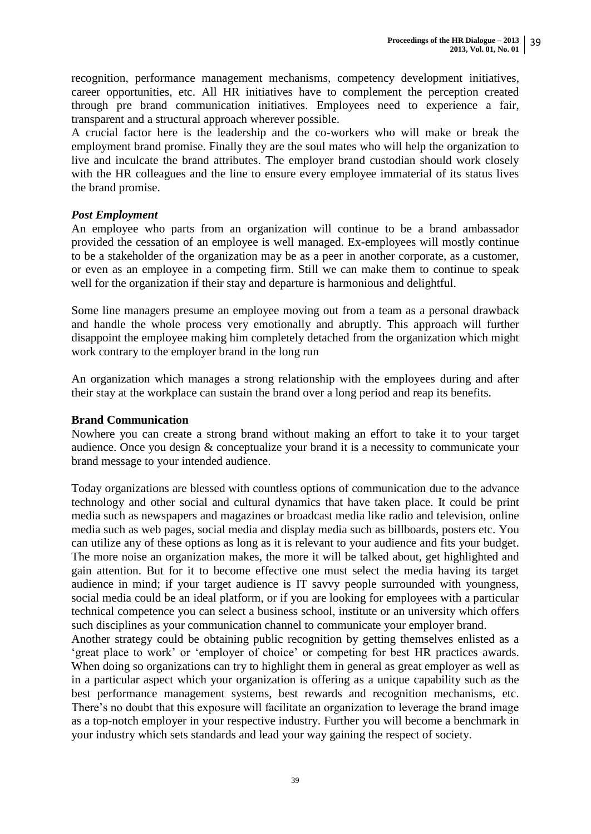recognition, performance management mechanisms, competency development initiatives, career opportunities, etc. All HR initiatives have to complement the perception created through pre brand communication initiatives. Employees need to experience a fair, transparent and a structural approach wherever possible.

A crucial factor here is the leadership and the co-workers who will make or break the employment brand promise. Finally they are the soul mates who will help the organization to live and inculcate the brand attributes. The employer brand custodian should work closely with the HR colleagues and the line to ensure every employee immaterial of its status lives the brand promise.

# *Post Employment*

An employee who parts from an organization will continue to be a brand ambassador provided the cessation of an employee is well managed. Ex-employees will mostly continue to be a stakeholder of the organization may be as a peer in another corporate, as a customer, or even as an employee in a competing firm. Still we can make them to continue to speak well for the organization if their stay and departure is harmonious and delightful.

Some line managers presume an employee moving out from a team as a personal drawback and handle the whole process very emotionally and abruptly. This approach will further disappoint the employee making him completely detached from the organization which might work contrary to the employer brand in the long run

An organization which manages a strong relationship with the employees during and after their stay at the workplace can sustain the brand over a long period and reap its benefits.

# **Brand Communication**

Nowhere you can create a strong brand without making an effort to take it to your target audience. Once you design & conceptualize your brand it is a necessity to communicate your brand message to your intended audience.

Today organizations are blessed with countless options of communication due to the advance technology and other social and cultural dynamics that have taken place. It could be print media such as newspapers and magazines or broadcast media like radio and television, online media such as web pages, social media and display media such as billboards, posters etc. You can utilize any of these options as long as it is relevant to your audience and fits your budget. The more noise an organization makes, the more it will be talked about, get highlighted and gain attention. But for it to become effective one must select the media having its target audience in mind; if your target audience is IT savvy people surrounded with youngness, social media could be an ideal platform, or if you are looking for employees with a particular technical competence you can select a business school, institute or an university which offers such disciplines as your communication channel to communicate your employer brand.

Another strategy could be obtaining public recognition by getting themselves enlisted as a 'great place to work' or 'employer of choice' or competing for best HR practices awards. When doing so organizations can try to highlight them in general as great employer as well as in a particular aspect which your organization is offering as a unique capability such as the best performance management systems, best rewards and recognition mechanisms, etc. There's no doubt that this exposure will facilitate an organization to leverage the brand image as a top-notch employer in your respective industry. Further you will become a benchmark in your industry which sets standards and lead your way gaining the respect of society.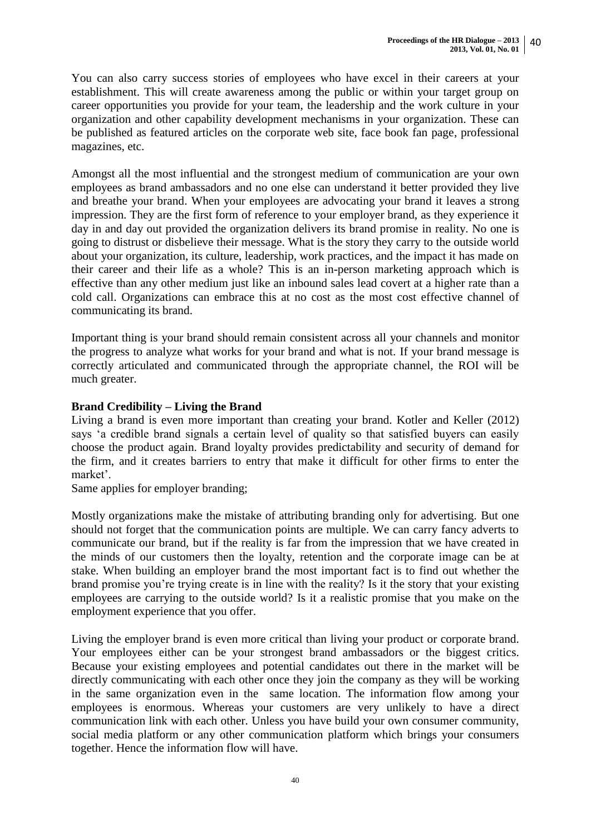You can also carry success stories of employees who have excel in their careers at your establishment. This will create awareness among the public or within your target group on career opportunities you provide for your team, the leadership and the work culture in your organization and other capability development mechanisms in your organization. These can be published as featured articles on the corporate web site, face book fan page, professional magazines, etc.

Amongst all the most influential and the strongest medium of communication are your own employees as brand ambassadors and no one else can understand it better provided they live and breathe your brand. When your employees are advocating your brand it leaves a strong impression. They are the first form of reference to your employer brand, as they experience it day in and day out provided the organization delivers its brand promise in reality. No one is going to distrust or disbelieve their message. What is the story they carry to the outside world about your organization, its culture, leadership, work practices, and the impact it has made on their career and their life as a whole? This is an in-person marketing approach which is effective than any other medium just like an inbound sales lead covert at a higher rate than a cold call. Organizations can embrace this at no cost as the most cost effective channel of communicating its brand.

Important thing is your brand should remain consistent across all your channels and monitor the progress to analyze what works for your brand and what is not. If your brand message is correctly articulated and communicated through the appropriate channel, the ROI will be much greater.

# **Brand Credibility – Living the Brand**

Living a brand is even more important than creating your brand. Kotler and Keller (2012) says 'a credible brand signals a certain level of quality so that satisfied buyers can easily choose the product again. Brand loyalty provides predictability and security of demand for the firm, and it creates barriers to entry that make it difficult for other firms to enter the market'.

Same applies for employer branding;

Mostly organizations make the mistake of attributing branding only for advertising. But one should not forget that the communication points are multiple. We can carry fancy adverts to communicate our brand, but if the reality is far from the impression that we have created in the minds of our customers then the loyalty, retention and the corporate image can be at stake. When building an employer brand the most important fact is to find out whether the brand promise you're trying create is in line with the reality? Is it the story that your existing employees are carrying to the outside world? Is it a realistic promise that you make on the employment experience that you offer.

Living the employer brand is even more critical than living your product or corporate brand. Your employees either can be your strongest brand ambassadors or the biggest critics. Because your existing employees and potential candidates out there in the market will be directly communicating with each other once they join the company as they will be working in the same organization even in the same location. The information flow among your employees is enormous. Whereas your customers are very unlikely to have a direct communication link with each other. Unless you have build your own consumer community, social media platform or any other communication platform which brings your consumers together. Hence the information flow will have.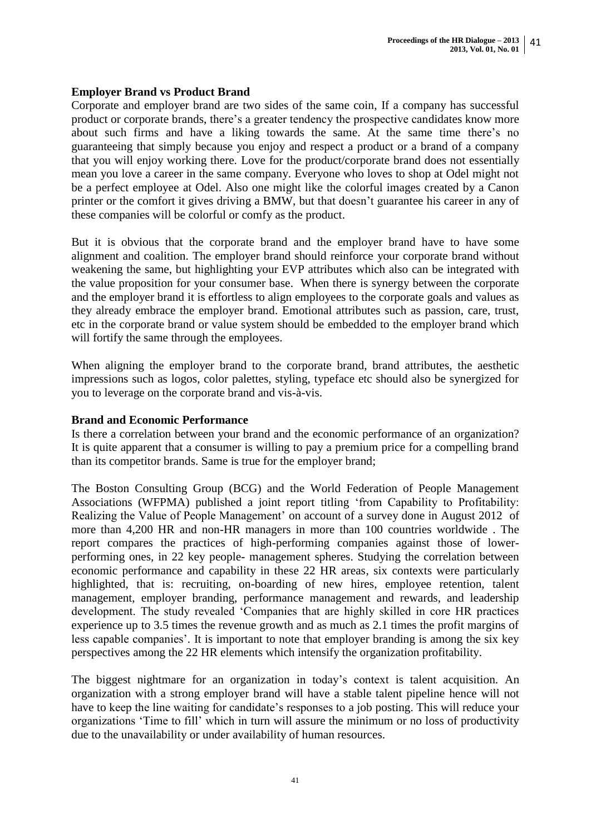# **Employer Brand vs Product Brand**

Corporate and employer brand are two sides of the same coin, If a company has successful product or corporate brands, there's a greater tendency the prospective candidates know more about such firms and have a liking towards the same. At the same time there's no guaranteeing that simply because you enjoy and respect a product or a brand of a company that you will enjoy working there. Love for the product/corporate brand does not essentially mean you love a career in the same company. Everyone who loves to shop at Odel might not be a perfect employee at Odel. Also one might like the colorful images created by a Canon printer or the comfort it gives driving a BMW, but that doesn't guarantee his career in any of these companies will be colorful or comfy as the product.

But it is obvious that the corporate brand and the employer brand have to have some alignment and coalition. The employer brand should reinforce your corporate brand without weakening the same, but highlighting your EVP attributes which also can be integrated with the value proposition for your consumer base. When there is synergy between the corporate and the employer brand it is effortless to align employees to the corporate goals and values as they already embrace the employer brand. Emotional attributes such as passion, care, trust, etc in the corporate brand or value system should be embedded to the employer brand which will fortify the same through the employees.

When aligning the employer brand to the corporate brand, brand attributes, the aesthetic impressions such as logos, color palettes, styling, typeface etc should also be synergized for you to leverage on the corporate brand and vis-à-vis.

# **Brand and Economic Performance**

Is there a correlation between your brand and the economic performance of an organization? It is quite apparent that a consumer is willing to pay a premium price for a compelling brand than its competitor brands. Same is true for the employer brand;

The Boston Consulting Group (BCG) and the World Federation of People Management Associations (WFPMA) published a joint report titling 'from Capability to Profitability: Realizing the Value of People Management' on account of a survey done in August 2012 of more than 4,200 HR and non-HR managers in more than 100 countries worldwide . The report compares the practices of high-performing companies against those of lowerperforming ones, in 22 key people- management spheres. Studying the correlation between economic performance and capability in these 22 HR areas, six contexts were particularly highlighted, that is: recruiting, on-boarding of new hires, employee retention, talent management, employer branding, performance management and rewards, and leadership development. The study revealed 'Companies that are highly skilled in core HR practices experience up to 3.5 times the revenue growth and as much as 2.1 times the profit margins of less capable companies'. It is important to note that employer branding is among the six key perspectives among the 22 HR elements which intensify the organization profitability.

The biggest nightmare for an organization in today's context is talent acquisition. An organization with a strong employer brand will have a stable talent pipeline hence will not have to keep the line waiting for candidate's responses to a job posting. This will reduce your organizations 'Time to fill' which in turn will assure the minimum or no loss of productivity due to the unavailability or under availability of human resources.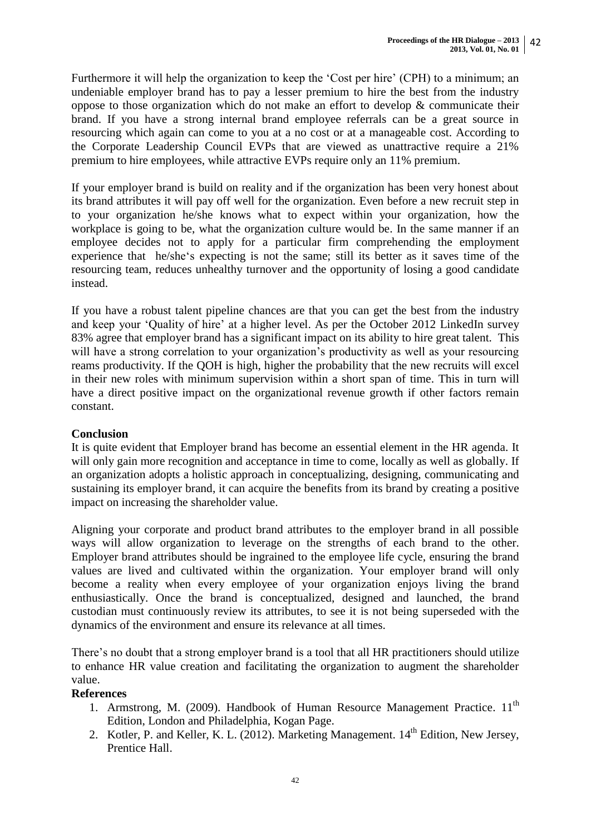Furthermore it will help the organization to keep the 'Cost per hire' (CPH) to a minimum; an undeniable employer brand has to pay a lesser premium to hire the best from the industry oppose to those organization which do not make an effort to develop & communicate their brand. If you have a strong internal brand employee referrals can be a great source in resourcing which again can come to you at a no cost or at a manageable cost. According to the Corporate Leadership Council EVPs that are viewed as unattractive require a 21% premium to hire employees, while attractive EVPs require only an 11% premium.

If your employer brand is build on reality and if the organization has been very honest about its brand attributes it will pay off well for the organization. Even before a new recruit step in to your organization he/she knows what to expect within your organization, how the workplace is going to be, what the organization culture would be. In the same manner if an employee decides not to apply for a particular firm comprehending the employment experience that he/she's expecting is not the same; still its better as it saves time of the resourcing team, reduces unhealthy turnover and the opportunity of losing a good candidate instead.

If you have a robust talent pipeline chances are that you can get the best from the industry and keep your 'Quality of hire' at a higher level. As per the October 2012 LinkedIn survey 83% agree that employer brand has a significant impact on its ability to hire great talent. This will have a strong correlation to your organization's productivity as well as your resourcing reams productivity. If the QOH is high, higher the probability that the new recruits will excel in their new roles with minimum supervision within a short span of time. This in turn will have a direct positive impact on the organizational revenue growth if other factors remain constant.

# **Conclusion**

It is quite evident that Employer brand has become an essential element in the HR agenda. It will only gain more recognition and acceptance in time to come, locally as well as globally. If an organization adopts a holistic approach in conceptualizing, designing, communicating and sustaining its employer brand, it can acquire the benefits from its brand by creating a positive impact on increasing the shareholder value.

Aligning your corporate and product brand attributes to the employer brand in all possible ways will allow organization to leverage on the strengths of each brand to the other. Employer brand attributes should be ingrained to the employee life cycle, ensuring the brand values are lived and cultivated within the organization. Your employer brand will only become a reality when every employee of your organization enjoys living the brand enthusiastically. Once the brand is conceptualized, designed and launched, the brand custodian must continuously review its attributes, to see it is not being superseded with the dynamics of the environment and ensure its relevance at all times.

There's no doubt that a strong employer brand is a tool that all HR practitioners should utilize to enhance HR value creation and facilitating the organization to augment the shareholder value.

# **References**

- 1. Armstrong, M. (2009). Handbook of Human Resource Management Practice. 11<sup>th</sup> Edition, London and Philadelphia, Kogan Page.
- 2. Kotler, P. and Keller, K. L. (2012). Marketing Management. 14<sup>th</sup> Edition, New Jersey, Prentice Hall.